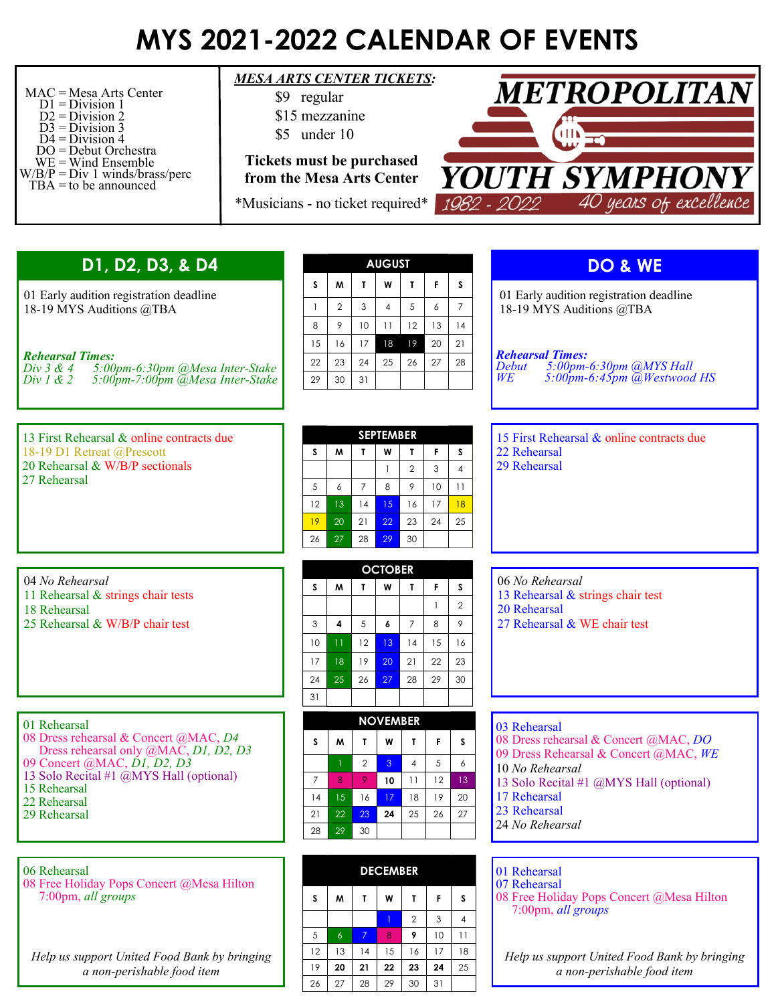## **MYS 2021-2022 CALENDAR OF EVENTS**

| $MAC = Mesa Arts Center$<br>$D1 = Division 1$<br>$D2 = Division 2$<br>$D3 = Division 3$<br>$D4 = Division 4$<br>$DO = Debut$ Orchestra<br>$WE = Wind$ Ensemble<br>$W/B/P = Div 1 \text{ winds/brass/perc}$<br>TBA = to be announced | <b>MESA ARTS CENTER TICKETS:</b><br>\$9 regular<br>\$15 mezzanine<br>\$5 under 10<br><b>Tickets must be purchased</b><br>from the Mesa Arts Center<br>*Musicians - no ticket required* |                                       |                                                             |                                            |                                                                        |                                                  |                                 |                                             | <b>METROPOLITAN</b><br>YOUTH SYMPHONY<br>40 years of excellence<br>1982 - 2022                                                                                                                                  |  |  |
|-------------------------------------------------------------------------------------------------------------------------------------------------------------------------------------------------------------------------------------|----------------------------------------------------------------------------------------------------------------------------------------------------------------------------------------|---------------------------------------|-------------------------------------------------------------|--------------------------------------------|------------------------------------------------------------------------|--------------------------------------------------|---------------------------------|---------------------------------------------|-----------------------------------------------------------------------------------------------------------------------------------------------------------------------------------------------------------------|--|--|
| D1, D2, D3, & D4                                                                                                                                                                                                                    |                                                                                                                                                                                        | s                                     |                                                             |                                            | <b>AUGUST</b>                                                          |                                                  |                                 |                                             | DO & WE                                                                                                                                                                                                         |  |  |
| 01 Early audition registration deadline<br>18-19 MYS Auditions @TBA<br><b>Rehearsal Times:</b><br>Div $3 & 4$<br>5:00pm-6:30pm @Mesa Inter-Stake<br>Div 1 & 2<br>$5:00$ pm-7:00pm $\ddot{\varpi}$ Mesa Inter-Stake                  |                                                                                                                                                                                        |                                       | M<br>$\overline{2}$<br>9<br>16                              | T<br>3<br>10<br>17                         | W<br>$\overline{4}$<br>11<br>18                                        | L<br>5<br>12<br>19                               | F<br>6<br>13<br>20              | s<br>$\overline{7}$<br>14<br>21             | 01 Early audition registration deadline<br>18-19 MYS Auditions @TBA                                                                                                                                             |  |  |
|                                                                                                                                                                                                                                     |                                                                                                                                                                                        |                                       | 23<br>30                                                    | 24<br>31                                   | 25                                                                     | 26                                               | 27                              | 28                                          | <b>Rehearsal Times:</b><br>5:00pm-6:30pm @MYS Hall<br>5:00pm-6:45pm @Westwood HS<br>Debut<br>WE <sup>-</sup>                                                                                                    |  |  |
| 13 First Rehearsal & online contracts due<br>18-19 D1 Retreat @Prescott<br>20 Rehearsal & W/B/P sectionals<br>27 Rehearsal                                                                                                          |                                                                                                                                                                                        | S<br>5<br>12<br>19<br>26              | M<br>6<br>13<br>20<br>27                                    | T.<br>$\overline{7}$<br>14<br>21<br>28     | <b>SEPTEMBER</b><br>W<br>$\mathbf{1}$<br>8<br>15<br>22<br>29           | T<br>$\overline{2}$<br>9<br>16<br>23<br>30       | F<br>3<br>10<br>17<br>24        | S<br>$\Delta$<br>11<br>18<br>25             | 15 First Rehearsal & online contracts due<br>22 Rehearsal<br>29 Rehearsal                                                                                                                                       |  |  |
| 04 No Rehearsal<br>11 Rehearsal & strings chair tests<br>18 Rehearsal<br>25 Rehearsal & W/B/P chair test                                                                                                                            |                                                                                                                                                                                        | S.<br>3<br>10<br>17<br>24<br>31       | M<br>$\overline{\mathbf{4}}$<br>$\overline{11}$<br>18<br>25 | T<br>5 <sup>5</sup><br>12<br>19<br>26      | <b>OCTOBER</b><br>W<br>$\boldsymbol{6}$<br>13 <sup>°</sup><br>20<br>27 | $\mathbf{L}$<br>$\overline{7}$<br>14<br>21<br>28 | F.<br>$\,8\,$<br>15<br>22<br>29 | S.<br>$\overline{2}$<br>9<br>16<br>23<br>30 | 06 No Rehearsal<br>13 Rehearsal & strings chair test<br>20 Rehearsal<br>27 Rehearsal & WE chair test                                                                                                            |  |  |
| 01 Rehearsal<br>08 Dress rehearsal & Concert @MAC, D4<br>Dress rehearsal only @MAC, D1, D2, D3<br>09 Concert @MAC, D1, D2, D3<br>13 Solo Recital #1 @MYS Hall (optional)<br>15 Rehearsal<br>22 Rehearsal<br>29 Rehearsal            |                                                                                                                                                                                        | s<br>$\overline{7}$<br>14<br>21<br>28 | M<br>8<br>15<br>22<br>29                                    | T<br>$\overline{2}$<br>9<br>16<br>23<br>30 | <b>NOVEMBER</b><br>W<br>$\mathbf{3}$<br>10<br>17<br>24                 | T.<br>4<br>11<br>18<br>25                        | F.<br>5<br>12<br>19<br>26       | s<br>6<br>13 <sup>°</sup><br>20<br>27       | 03 Rehearsal<br>08 Dress rehearsal & Concert @MAC, DO<br>09 Dress Rehearsal & Concert @MAC, WE<br>10 No Rehearsal<br>13 Solo Recital #1 @MYS Hall (optional)<br>17 Rehearsal<br>23 Rehearsal<br>24 No Rehearsal |  |  |
| 06 Rehearsal<br>08 Free Holiday Pops Concert @Mesa Hilton<br>7:00pm, all groups                                                                                                                                                     |                                                                                                                                                                                        | s                                     | M                                                           | T.                                         | <b>DECEMBER</b><br>W<br>$\circ$                                        | T.<br>$\overline{2}$<br>$\bullet$                | F.<br>3<br>10 <sup>1</sup>      | s<br>$\overline{4}$<br>11                   | 01 Rehearsal<br>07 Rehearsal<br>08 Free Holiday Pops Concert @Mesa Hilton<br>7:00pm, all groups                                                                                                                 |  |  |

*Help us support United Food Bank by bringing a non-perishable food item*

| pljndin    |                |    |    |                |    |    |  |  |  |
|------------|----------------|----|----|----------------|----|----|--|--|--|
| S          | W              | T  | W  | T              | F  | S  |  |  |  |
|            |                |    |    | $\overline{2}$ | 3  | 4  |  |  |  |
| $\sqrt{5}$ | $\overline{6}$ | 7  | 8  | 9              | 10 | 11 |  |  |  |
| 12         | 13             | 4  | 15 | 16             | 17 | 18 |  |  |  |
| 19         | 20             | 21 | 22 | 23             | 24 | 25 |  |  |  |
| 26         | 27             | 28 | 29 | 30             | 31 |    |  |  |  |

*Help us support United Food Bank by bringing a non-perishable food item*